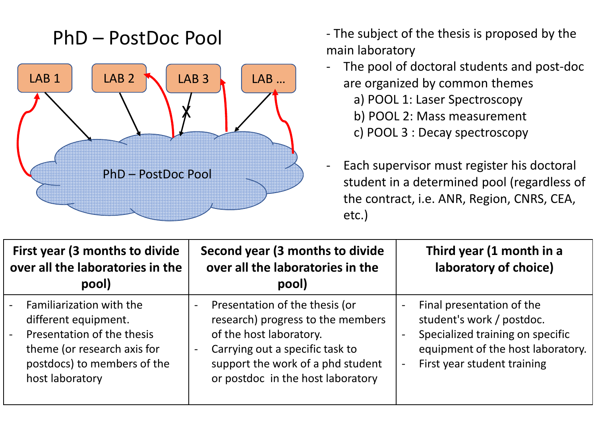## PhD – PostDoc Pool



- The subject of the thesis is proposed by the main laboratory
- The pool of doctoral students and post-doc are organized by common themesa) POOL 1: Laser Spectroscopy b) POOL 2: Mass measurementc) POOL 3 : Decay spectroscopy
- Each supervisor must register his doctoral student in a determined pool (regardless of the contract, i.e. ANR, Region, CNRS, CEA, etc.)

| First year (3 months to divide<br>over all the laboratories in the<br>pool)                                                                                                                         | Second year (3 months to divide<br>over all the laboratories in the<br>pool)                                                                                                                                                  | Third year (1 month in a<br>laboratory of choice)                                                                                                                                                                      |  |
|-----------------------------------------------------------------------------------------------------------------------------------------------------------------------------------------------------|-------------------------------------------------------------------------------------------------------------------------------------------------------------------------------------------------------------------------------|------------------------------------------------------------------------------------------------------------------------------------------------------------------------------------------------------------------------|--|
| Familiarization with the<br>$\blacksquare$<br>different equipment.<br>Presentation of the thesis<br>$\blacksquare$<br>theme (or research axis for<br>postdocs) to members of the<br>host laboratory | Presentation of the thesis (or<br>research) progress to the members<br>of the host laboratory.<br>Carrying out a specific task to<br>$\blacksquare$<br>support the work of a phd student<br>or postdoc in the host laboratory | Final presentation of the<br>$\overline{\phantom{0}}$<br>student's work / postdoc.<br>Specialized training on specific<br>equipment of the host laboratory.<br>First year student training<br>$\overline{\phantom{0}}$ |  |